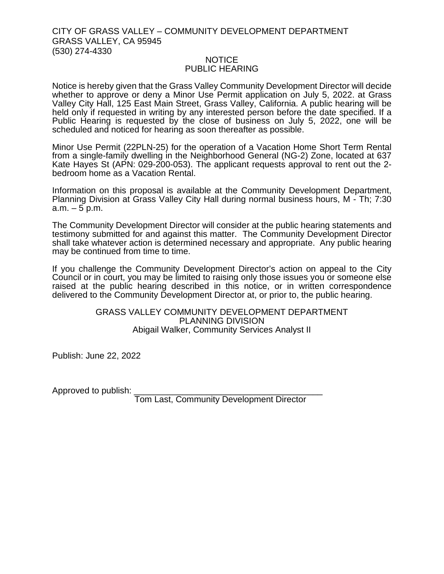## CITY OF GRASS VALLEY – COMMUNITY DEVELOPMENT DEPARTMENT GRASS VALLEY, CA 95945 (530) 274-4330

## NOTICE PUBLIC HEARING

Notice is hereby given that the Grass Valley Community Development Director will decide whether to approve or deny a Minor Use Permit application on July 5, 2022. at Grass Valley City Hall, 125 East Main Street, Grass Valley, California. A public hearing will be held only if requested in writing by any interested person before the date specified. If a Public Hearing is requested by the close of business on July 5, 2022, one will be scheduled and noticed for hearing as soon thereafter as possible.

Minor Use Permit (22PLN-25) for the operation of a Vacation Home Short Term Rental from a single-family dwelling in the Neighborhood General (NG-2) Zone, located at 637 Kate Hayes St (APN: 029-200-053). The applicant requests approval to rent out the 2 bedroom home as a Vacation Rental.

Information on this proposal is available at the Community Development Department, Planning Division at Grass Valley City Hall during normal business hours, M - Th; 7:30  $a.m. - 5 p.m.$ 

The Community Development Director will consider at the public hearing statements and testimony submitted for and against this matter. The Community Development Director shall take whatever action is determined necessary and appropriate. Any public hearing may be continued from time to time.

If you challenge the Community Development Director's action on appeal to the City Council or in court, you may be limited to raising only those issues you or someone else raised at the public hearing described in this notice, or in written correspondence delivered to the Community Development Director at, or prior to, the public hearing.

## GRASS VALLEY COMMUNITY DEVELOPMENT DEPARTMENT PLANNING DIVISION Abigail Walker, Community Services Analyst II

Publish: June 22, 2022

Approved to publish:

Tom Last, Community Development Director